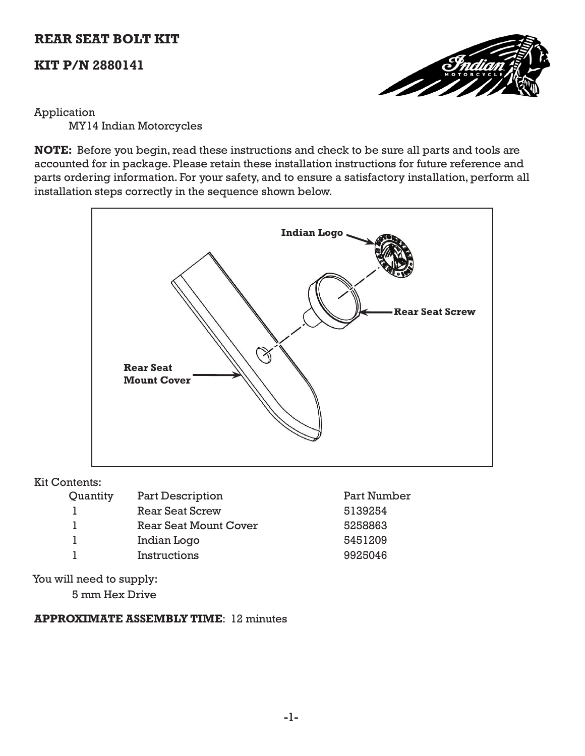# **REAR SEAT BOLT KIT**

# **KIT P/N 2880141**



### Application

MY14 Indian Motorcycles

**NOTE:** Before you begin, read these instructions and check to be sure all parts and tools are accounted for in package. Please retain these installation instructions for future reference and parts ordering information. For your safety, and to ensure a satisfactory installation, perform all installation steps correctly in the sequence shown below.



#### Kit Contents:

| Quantity | <b>Part Description</b>      | Part Number |
|----------|------------------------------|-------------|
|          | <b>Rear Seat Screw</b>       | 5139254     |
|          | <b>Rear Seat Mount Cover</b> | 5258863     |
|          | Indian Logo                  | 5451209     |
|          | Instructions                 | 9925046     |
|          |                              |             |

You will need to supply:

5 mm Hex Drive

## **APPROXIMATE ASSEMBLY TIME**: 12 minutes